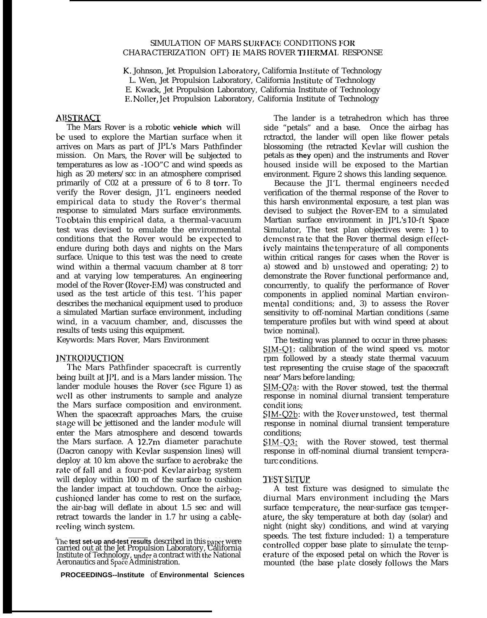## SIMULATION OF MARS SURFACE COND1TIONS FOR CHARACTERIZATION OFT} IE MARS ROVER TI IERMAL RESPONSE

K, Johnson, Jet Propulsion Laboratory, California Institute of Technology L. Wen, Jet Propulsion Laboratory, California Institute of Technology E. Kwack, Jet Propulsion Laboratory, California Institute of Technology E. Noller, Jet Propulsion Laboratory, California Institute of Technology

## ABSTRACT

The Mars Rover is a robotic **vehicle which** will bc used to explore the Martian surface when it arrives on Mars as part of JPL's Mars Pathfinder mission. On Mars, the Rover will bc subjected to temperatures as low as -1OO"C and wind speeds as high as 20 meters/scc in an atmosphere comprised primarily of C02 at a pressure of 6 to 8 torr. To verify the Rover design, J1'L engineers needed empirical data to study the Rover's thermal response to simulated Mars surface environments. To obtain this empirical data, a thermal-vacuum test was devised to emulate the environmental conditions that the Rover would be cxpcctcd to endure during both days and nights on the Mars surface. Unique to this test was the need to create wind within a thermal vacuum chamber at 8 torr and at varying low temperatures. An engineering model of the Rover (Rover-EM) was constructed and used as the test article of this test. 'l'his paper describes the mechanical equipment used to produce a simulated Martian surface environment, including wind, in a vacuum chamber, and, discusses the results of tests using this equipment.

Keywords: Mars Rover, Mars Environment

## **INTRODUCTION**

The Mars Pathfinder spacecraft is currently being built at  $JPL$  and is a Mars lander mission. The lander module houses the Rover (see Figure 1) as well as other instruments to sample and analyze the Mars surface composition and environment. When the spacecraft approaches Mars, the cruise stage will bc jettisoned and the lander module will enter the Mars atmosphere and descend towards the Mars surface. A 12.7m diameter parachute (Dacron canopy with Kcvlar suspension lines) will deploy at 10 km above the surface to aerobrake the rate of fall and a four-pod Kevlar airbag system will deploy within 100 m of the surface to cushion the lander impact at touchdown. Once the airbagcushioncd lander has come to rest on the surface, the air-bag will deflate in about 1.5 sec and will retract towards the lander in 1.7 hr using a cablcrccling winch systcm.

**PROCEEDINGS--lnstitute** of **Environmental Sciences**

The lander is a tetrahedron which has three side "petals" and a base. Once the airbag has rctractcd, the lander will open like flower petals blossoming (the retracted Kevlar will cushion the petals as **they** open) and the instruments and Rover housed inside will be exposed to the Martian environment. Figure 2 shows this landing sequence.

Because the JI'L thermal engineers needed verification of the thermal response of the Rover to this harsh environmental exposure, a test plan was devised to subject the Rover-EM to a simulated Martian surface environment in JPL's 10-ft Space Simulator, The test plan objectives were: 1) to demonst ra te that the Rover thermal design effectively maintains the temperature of all components within critical ranges for cases when the Rover is a) stowed and b) unstowcd and operating; 2) to demonstrate the Rover functional performance and, concurrently, to qualify the performance of Rover components in applied nominal Martian cnvironmental conditions; and, 3) to assess the Rover sensitivity to off-nominal Martian conditions (.same temperature profiles but with wind speed at about twice nominal).

The testing was planned to occur in three phases: SIM-Q1: calibration of the wind speed vs. motor rpm followed by a steady state thermal vacuum test representing the cruise stage of the spacecraft near' Mars before landing;

 $SIM-Q2a$ : with the Rover stowed, test the thermal response in nominal diurnal transient temperature condit ions;

SIM-Q2b: with the Rover unstowed, test thermal response in nominal diurnal transient temperature conditions;

SIM-Q3: with the Rover stowed, test thermal response in off-nominal diurnal transient temperaturc conditions.

### **TEST SETUP**

A test fixture was designed to simulate the diurnal Mars environment including the Mars surface temperature, the near-surface gas temperaturc, the sky temperature at both day (solar) and night (night sky) conditions, and wind at varying speeds. The test fixture included: 1) a temperature controlled copper base plate to simulate the temprature of the exposed petal on which the Rover is mounted (the base plate closely follows the Mars

**<sup>~</sup>hc test set-up and-test results** described in this pafir were carried out at the Jet Propulsion Laboratory, California Institute of Technology, under a contract with the National Aeronautics and Space Administration.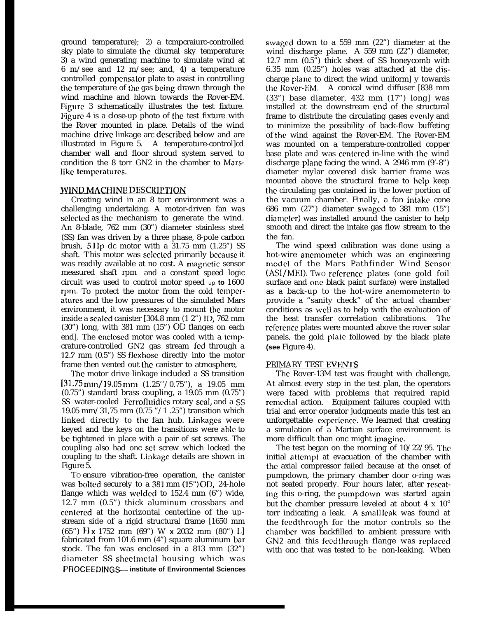ground temperature); 2) a tcmpcraiurc-controlled sky plate to simulate the diurnal sky temperature; 3) a wind generating machine to simulate wind at 6 m/see and 12 m/see; and, 4) a temperature controlled compensator plate to assist in controlling the temperature of the gas being drawn through the wind machine and blown towards the Rover-EM. Figure 3 schematically illustrates the test fixture. Figure 4 is a close-up photo of the test fixture with the Rover mounted in place. Details of the wind machine drive linkage arc dcscribcd below and are illustrated in Figure 5. A temperature-control]cd chamber wall and floor shroud system served to condition the 8 torr GN2 in the chamber to Marslikc tcmpcraturcs.

# WIND MACHINE DESCRIPTION

Creating wind in an 8 torr environment was a challenging undertaking. A motor-driven fan was sclected as the mechanism to generate the wind. An 8-blade, 762 mm (30") diameter stainless steel (SS) fan was driven by a three phase, 8-pole carbon brush,  $5$  IIp dc motor with a  $31.75$  mm  $(1.25)$  SS shaft. This motor was selected primarily because it was readily available at no cost. A magnetic sensor measured shaft rpm and a constant speed logic circuit was used to control motor speed up **to** 1600 rpm. To protect the motor from the cold temperaturcs and the low pressures of the simulated Mars environment, it was necessary to mount the motor inside a scaled canister [304.8 mm (1 2") II), 762 mm (30") long, with 381 mm (15") OD flanges on each end]. The cncloscd motor was cooled with a tcmpcrature-controlled GN2 gas stream fcd through a 12.7 mm (0.5") SS flexhosc directly into the motor frame then vented out the canister to atmosphere,

'1'hc motor drive linkage included a SS transition  $[31.75 \text{mm}/19.05 \text{mm}$   $(1.25\degree/0.75\degree)$ , a 19.05 mm (0.75") standard brass coupling, a 19.05 mm (0.75") SS water-cooled Ferrofluidics rotary seal, and a SS 19.05 mm/31,75 mm (0.75 "/1 .25") transition which linked directly to the fan hub. I.inkagcs were keyed and the keys on the transitions were able to bc tightened in place with a pair of set screws. The coupling also had onc set screw which locked the coupling to the shaft. Linkage details are shown in Figure 5.

TO ensure vibration-free operation, the canister was bolted securely to a 381 mm (15") OD, 24-hole flange which was welded to 152.4 mm (6") wide, 12.7 mm (0.5") thick aluminum crossbars and ccntcrcd at the horizontal centerline of the upstream side of a rigid structural frame [1650 mm (65") II **x** 1752 mm (69") W **x** 2032 mm (80") 11 fabricated from 101.6 mm (4") square aluminum bar stock. The fan was enclosed in a 813 mm (32") diameter SS shcctmctal housing which was **PROCEEDINGS— institute of Environmental Sciences**  swagcd down to a 559 mm (22") diameter at the wind discharge plane. A 559 mm (22") diameter, 12.7 mm (0.5") thick sheet of SS honeycomb with 6.35 mm (0.25") holes was attached at the discharge plane to direct the wind uniform] y towards the Rover-EM. A conical wind diffuser [838 mm (33") base diameter, 432 mm (17") long] was installed at the downstream cnd of the structural frame to distribute the circulating gases evenly and to minimize the possibility of back-flow buffeting of the wind against the Rover-EM. The Rover-EM was mounted on a temperature-controlled copper base plate and was centered in-line with the wind discharge plane facing the wind. A 2946 mm (9'-8") diameter mylar covered disk barrier frame was mounted above the structural frame to help keep the circulating gas contained in the lower portion of the vacuum chamber. Finally, a fan intake cone 686 mm (27") diameter swagcd to 381 mm (15") diamcler) was installed around the canister to help smooth and direct the intake gas flow stream to the the fan.

The wind speed calibration was done using a hot-wire anemometer which was an engineering model of the Mars Pathfinder Wind Sensor (ASI/MEI). Two reference plates (one gold foil surface and onc black paint surface) were installed as a back-up to the hot-wire anemometerto to provide a "sanity check" of the actual chamber conditions as WCII as to help with the evaluation of the heat transfer correlation calibrations. The reference plates were mounted above the rover solar panels, the gold plate followed by the black plate **(see** Figure 4).

## PRIMARY TEST EVENTS

The Rover-13M test was fraught with challenge, At almost every step in the test plan, the operators were faced with problems that required rapid remedial action. Equipment failures coupled with trial and error operator judgments made this test an unforgettable expcricncc. We learned that creating a simulation of a Martian surface environment is more difficult than onc might imagine.

The test began on the morning of  $10/22/95$ . The initial attempt at evacuation of the chamber with the axial compressor failed because at the onset of pumpdown, the primary chamber door o-ring was not seated properly. Four hours later, after reseating this o-ring, the pumpdown was started again but the chamber pressure leveled at about 4 x  $10<sup>2</sup>$ torr indicating a leak. A small Icak was found at the fcedthrough for the motor controls so the charnbcr was backfilled to ambient pressure with GN2 and this feedthrough flange was replaced with onc that was tested to bc non-leaking. When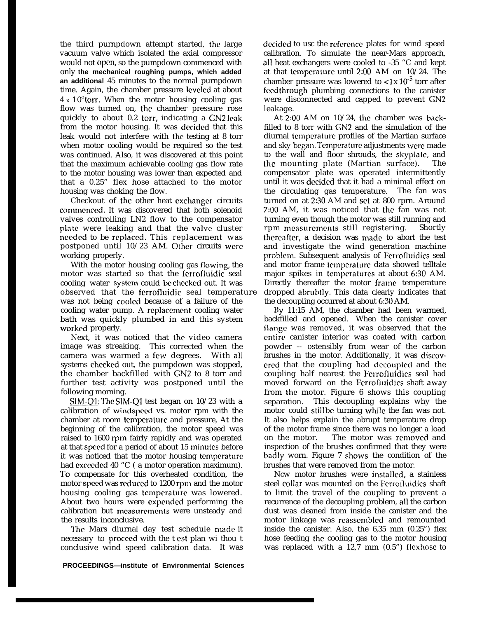the third purnpdown attempt started, the large vacuum valve which isolated the axial compressor would not open, so the pumpdown commenced with only **the mechanical roughing pumps, which added an additional** 45 minutes to the normal purnpdown time. Again, the chamber pressure Icvclcd at about  $4 \times 10^2$  torr. When the motor housing cooling gas flow was turned on, the chamber pressure rose quickly to about 0.2 torr, indicating a GN2 leak from the motor housing. It was decided that this leak would not interfere with the testing at 8 torr when motor cooling would bc required so the test was continued. Also, it was discovered at this point that the maximum achievable cooling gas flow rate to the motor housing was lower than expected and that a 0.25" flex hose attached to the motor housing was choking the flow.

Checkout of the other heat cxchangcr circuits comrncnccd. It was discovered that both solenoid valves controlling LN2 flow to the compensator plate were leaking and that the valve cluster nccdcd to be rcplaccd, This replacement was postponed until  $10/23$  AM. Other circuits were working properly.

With the motor housing cooling gas flowing, the motor was started so that the fcrrofluidic seal cooling water system could be checked out. It was observed that the ferrofluidic seal temperature was not being cooled because of a failure of the cooling water pump. A rcplaccmcnt cooling water bath was quickly plumbed in and this system worked properly.

Next, it was noticed that the video camera image was streaking. This corrected when the camera was warmed a few degrees. With all systems chcckcd out, the pumpdown was stopped, the chamber backfilled with GN2 to 8 torr and further test activity was postponed until the following morning.

SIM-Q1: The SIM-Q1 test began on 10/23 with a calibration of windspccd vs. motor rpm with the chamber at room temperature and pressure, At the beginning of the calibration, the motor speed was raised to 1600 rpm fairly rapidly and was operated at that speed for a period of about 15 minutes before it was noticed that the motor housing temperature had exceeded 40 "C ( a motor operation maximum). 7'o compensate for this overheated condition, the motor speed was reduced to 1200 rpm and the motor housing cooling gas temperature was lowered. About two hours were cxpcndcd performing the calibration but measurements were unsteady and the results inconclusive.

The Mars diurnal day test schedule made it necessary to procccd with the t cst plan wi thou t conclusive wind speed calibration data. It was decided to usc the reference plates for wind speed calibration. To simulate the near-Mars approach, all heat exchangers were cooled to -35 "C and kept at that tcmpcraturc until 2:00 AM on 10/24. The chamber pressure was lowered to  $\langle 1 \times 10^{-5}$  torr after fccdthrough plumbing connections to the canister were disconnected and capped to prevent GN2 leakage.

At 2:00 AM on 10/24, the chamber was backfilled to 8 torr with GN2 and the simulation of the diurnal tcmpcraturc profiles of the Martian surface and sky began, Tcmpcraturc adjustments were made to the wall and floor shrouds, the skyplatc, and the mounting plate (Martian surface). The compensator plate was operated intermittently until it was dccidcd that it had a minimal effect on the circulating gas temperature. The fan was turned on at 2:30 AM and set at 800 rprn. Around 7:00 AM, it was noticed that the fan was not turning even though the motor was still running and rpm mcasurcmcnts still registering. Shortly thereafter, a decision was made to abort the test and investigate the wind generation machine problcm. Subsequent analysis of Ferrofluidics seal and motor frame ternpcraturc data showed telltale major spikes in temperatures at about 6:30 AM. Directly thereafter the motor frame temperature dropped abrubtly. This data clearly indicates that the decoupling occurred at about 6:30 AM.

By 11:15 AM, the chamber had been warmed, backfilled and opened. When the canister cover flange was removed, it was observed that the entire canister interior was coated with carbon powder -- ostensibly from wear of the carbon brushes in the motor. Additionally, it was discovered that the coupling had decoupled and the coupling half nearest the Fcrrofluidics seal had moved forward on the Ferrofluidics shaft away from the motor. Figure 6 shows this coupling separation. This decoupling explains why the motor could still be turning while the fan was not. It also helps explain the abrupt temperature drop of the motor frame since there was no longer a load on the motor. The motor was removed and inspection of the brushes confirmed that they were badly worn. Figure 7 shows the condition of the brushes that were removed from the motor.

Ncw motor brushes were installed, a stainless steel collar was mounted on the Ferrofluidics shaft to limit the travel of the coupling to prevent a recurrence of the decoupling problem, all the carbon dust was cleaned from inside the canister and the motor linkage was reassembled and remounted inside the canister. Also, the 6,35 mm (0.25") flex hose feeding the cooling gas to the motor housing was replaced with a 12,7 mm (0.5") flcxhosc to

**PROCEEDINGS—institute of Environmental Sciences**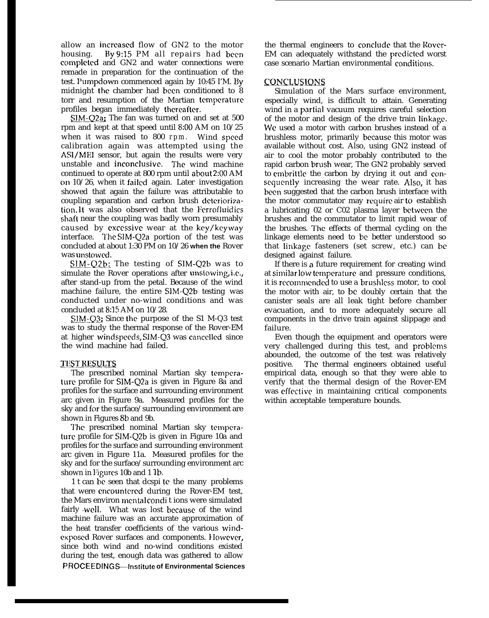allow an incrcascd flow of GN2 to the motor housing. *By* 9:15 PM all repairs had been complctcd and GN2 and water connections were remade in preparation for the continuation of the test. Pumpdown commenced again by 10:45 I'M. By midnight the chamber had been conditioned to 8 torr and resumption of the Martian temperature profiles began immediately thereafter.

SIM-Q2a; The fan was turned on and set at 500 rpm and kept at that speed until 8:00 AM on 10/25 when it was raised to 800 rpm. Wind speed calibration again was attempted using the ASI/MEI sensor, but again the results were very unstable and inconclusive. The wind machine continued to operate at 800 rpm until about 2:00 AM on  $10/26$ , when it failed again. Later investigation showed that again the failure was attributable to coupling separation and carbon brush deteriorization. lt was also observed that the Fcrrofluidics shaft near the coupling was badly worn presumably caused by excessive wear at the key/keyway interface. The SIM-Q2a portion of the test was concluded at about 1:30 PM on 10/26 **when the** Rover was unstowed.

SIM-Q2b: The testing of SIM-Q2b was to simulate the Rover operations after unstowing, i.c,, after stand-up from the petal. Because of the wind machine failure, the entire SIM-Q2b testing was conducted under no-wind conditions and was concluded at 8:15 AM on 10/28.

SIM-Q3; Since the purpose of the S1 M-Q3 test was to study the thermal response of the Rover-EM at higher windspeeds, SIM-Q3 was cancelled since the wind machine had failed.

### **TEST RESULTS**

The prescribed nominal Martian sky temperature profile for SIM-Q2a is given in Figure 8a and profiles for the surface and surrounding environment arc given in Figure 9a. Measured profiles for the sky and for the surface/surrounding environment are shown in Figures 8b and 9b.

The prescribed nominal Martian sky temperaturc profile for SIM-Q2b is given in Figure 10a and profiles for the surface and surrounding environment arc given in Figure 11a. Measured profiles for the sky and for the surface/surrounding environment arc shown in Figures 10b and 1 1b.

1 t can be seen that dcspi te the many problems that were cncountcrcd during the Rover-EM test, the Mars environ mental conditions were simulated fairly well. What was lost because of the wind machine failure was an accurate approximation of the heat transfer coefficients of the various windcxposcd Rover surfaces and components. IIowevcr, since both wind and no-wind conditions existed during the test, enough data was gathered to allow **PROCEEDINGS—!nstitute of Environmental Sciences**

the thermal engineers to conclude that the Rover-EM can adequately withstand the prcdictcd worst case scenario Martian environmental conditions.

### CONCLUSIONS

Simulation of the Mars surface environment, especially wind, is difficult to attain. Generating wind in a partial vacuum requires careful selection of the motor and design of the drive train Iinkagc. Wc used a motor with carbon brushes instead of a brushless motor, primarily bccausc this motor was available without cost. Also, using GN2 instead of air to cool the motor probably contributed to the rapid carbon brush wear, The GN2 probably served to embrittle the carbon by drying it out and conscqucntly increasing the wear rate. Also, it has been suggested that the carbon brush interface with the motor commutator may require air to establish a lubricating 02 or C02 plasma layer bctwccn the brushes and the commutator to limit rapid wear of the brushes. The effects of thermal cycling on the linkage elements need to bc better understood so that linkage fasteners (set screw, etc.) can be designed against failure.

If there is a future requirement for creating wind at similar low temperature and pressure conditions, it is rccommcndcd to use a brushlcss motor, to cool the motor with air, to bc doubly certain that the canister seals are all leak tight before chamber evacuation, and to more adequately secure all components in the drive train against slippage and failure.

Even though the equipment and operators were very challenged during this test, and problems abounded, the outcome of the test was relatively positive. The thermal engineers obtained useful empirical data, enough so that they were able to verify that the thermal design of the Rover-EM was cffcctivc in maintaining critical components within acceptable temperature bounds.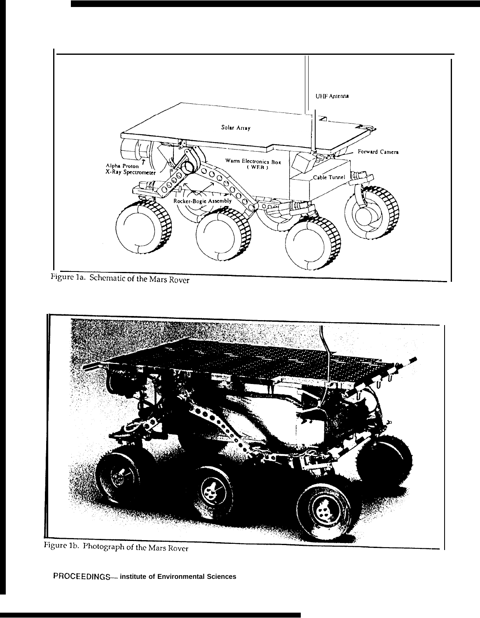

Figure 1a. Schematic of the Mars Rover



Figure 1b. Photograph of the Mars Rover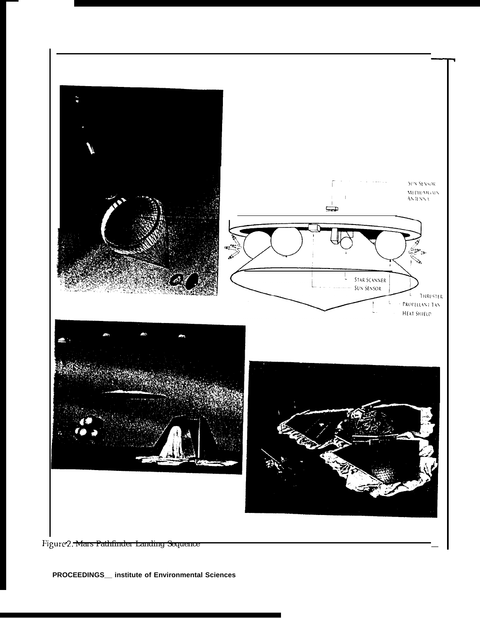

Figure 2. Mars Pathfinder Landing Sequence

**PROCEEDINGS\_\_ institute of Environmental Sciences**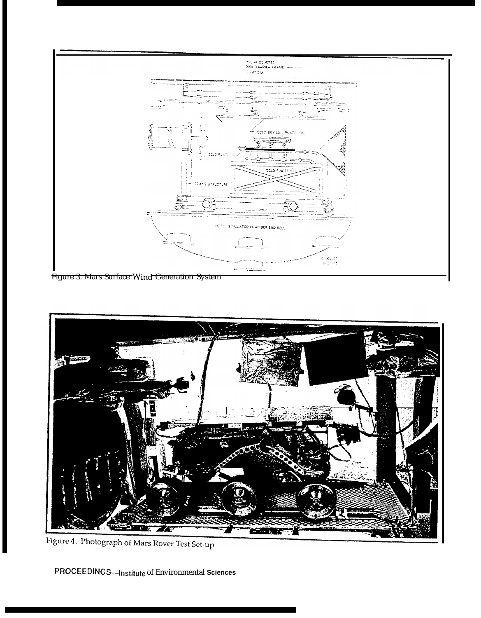

Figure 3. Mars Surface Wind Generation System



Figure 4. Photograph of Mars Rover Test Set-up

PROCEEDINGS---Institute of Environmental Sciences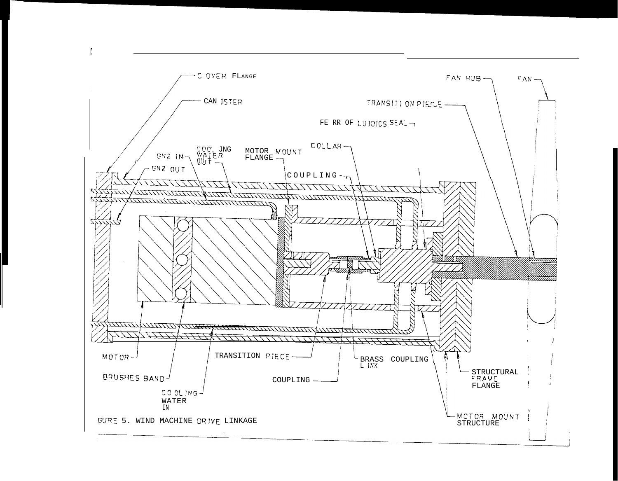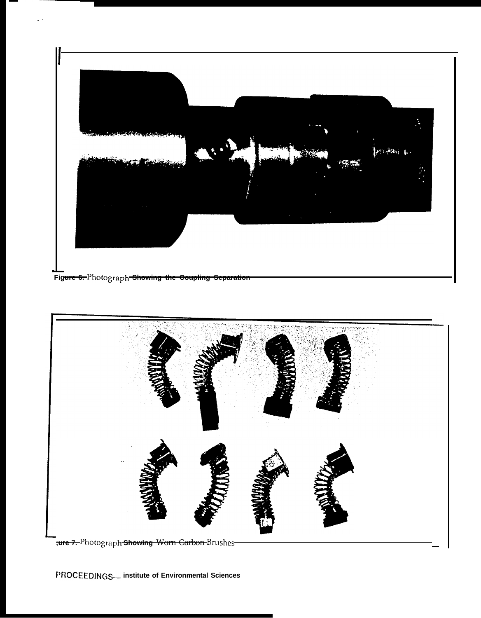



-<br><del>,**ure 7.** I'</del>hotograph <del>Showing Worn Carbon </del>Brushes<del>-</del>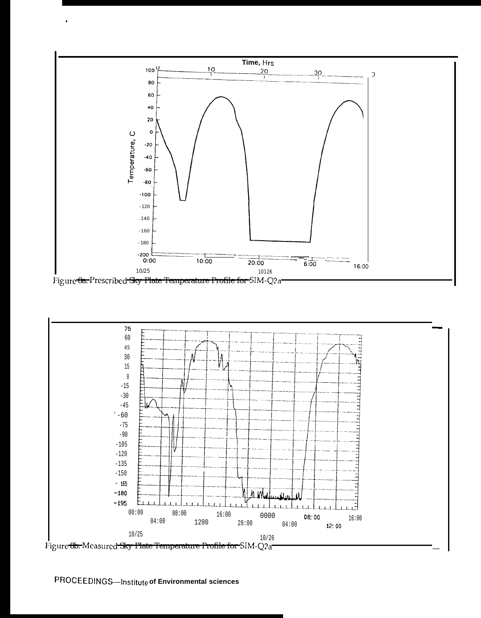



PROCEEDINGS-Institute of Environmental sciences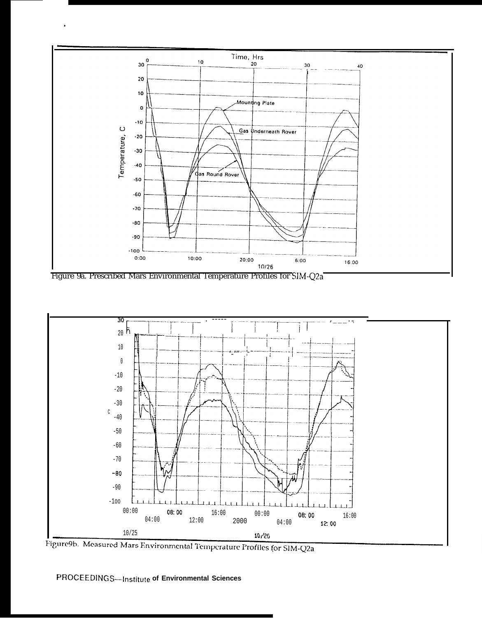

Figure 9a. Prescribed Mars Environmental Temperature Profiles for SIM-Q2a



Figure9b. Measured Mars Environmental Temperature Profiles for SIM-Q2a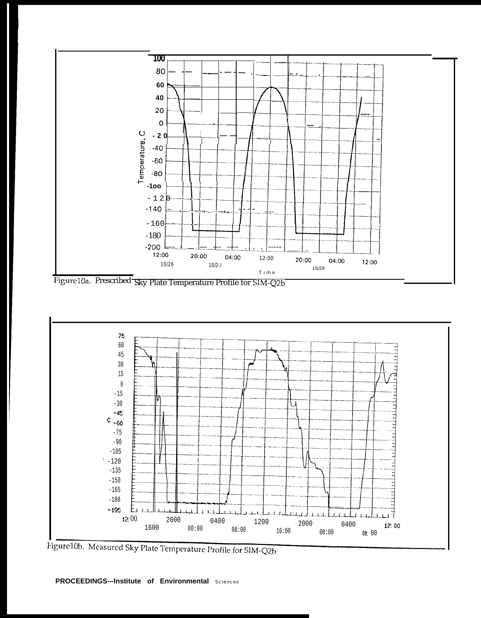

Figure10a. Prescribed Sky Plate Temperature Profile for SIM-Q2b



Figure 10b. Measured Sky Plate Temperature Profile for SIM-Q2b